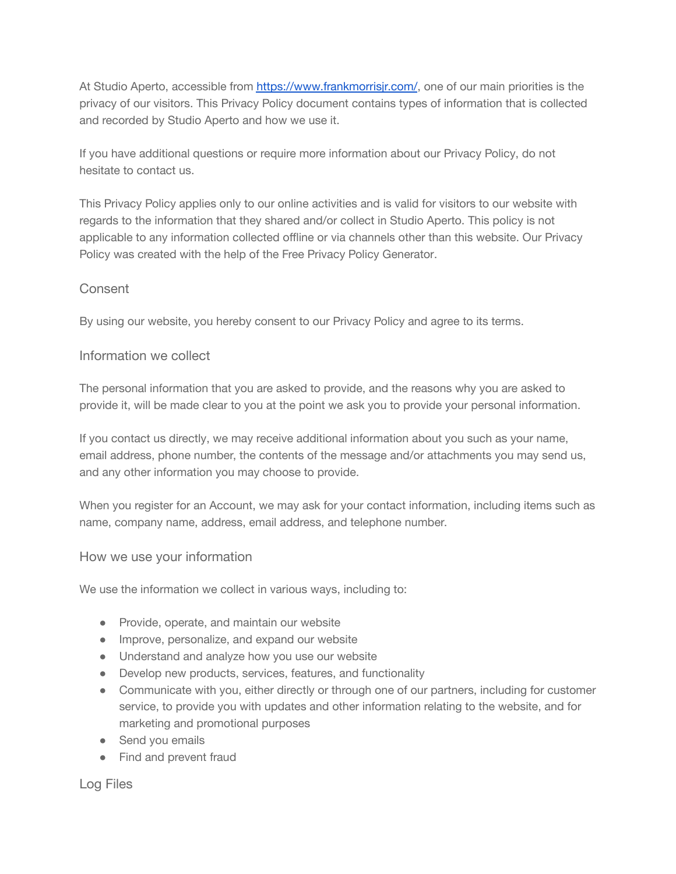At Studio Aperto, accessible from <https://www.frankmorrisjr.com/>, one of our main priorities is the privacy of our visitors. This Privacy Policy document contains types of information that is collected and recorded by Studio Aperto and how we use it.

If you have additional questions or require more information about our Privacy Policy, do not hesitate to contact us.

This Privacy Policy applies only to our online activities and is valid for visitors to our website with regards to the information that they shared and/or collect in Studio Aperto. This policy is not applicable to any information collected offline or via channels other than this website. Our Privacy Policy was created with the help of the Free Privacy [Policy Generator](https://www.termsfeed.com/privacy-policy-generator/).

# Consent

By using our website, you hereby consent to our Privacy Policy and agree to its terms.

### Information we collect

The personal information that you are asked to provide, and the reasons why you are asked to provide it, will be made clear to you at the point we ask you to provide your personal information.

If you contact us directly, we may receive additional information about you such as your name, email address, phone number, the contents of the message and/or attachments you may send us, and any other information you may choose to provide.

When you register for an Account, we may ask for your contact information, including items such as name, company name, address, email address, and telephone number.

### How we use your information

We use the information we collect in various ways, including to:

- Provide, operate, and maintain our website
- Improve, personalize, and expand our website
- Understand and analyze how you use our website
- Develop new products, services, features, and functionality
- Communicate with you, either directly or through one of our partners, including for customer service, to provide you with updates and other information relating to the website, and for marketing and promotional purposes
- Send you emails
- Find and prevent fraud

Log Files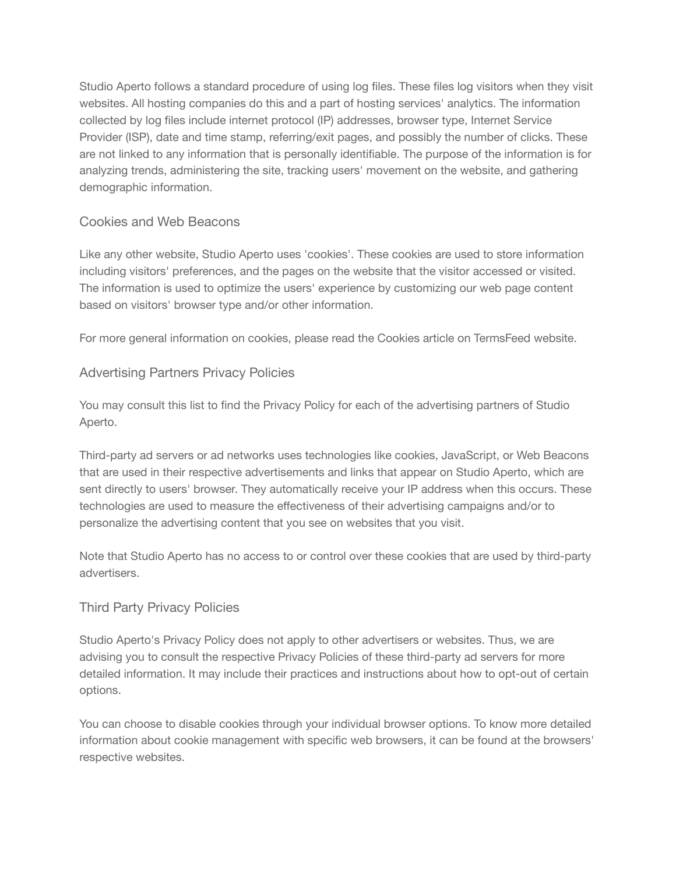Studio Aperto follows a standard procedure of using log files. These files log visitors when they visit websites. All hosting companies do this and a part of hosting services' analytics. The information collected by log files include internet protocol (IP) addresses, browser type, Internet Service Provider (ISP), date and time stamp, referring/exit pages, and possibly the number of clicks. These are not linked to any information that is personally identifiable. The purpose of the information is for analyzing trends, administering the site, tracking users' movement on the website, and gathering demographic information.

# Cookies and Web Beacons

Like any other website, Studio Aperto uses 'cookies'. These cookies are used to store information including visitors' preferences, and the pages on the website that the visitor accessed or visited. The information is used to optimize the users' experience by customizing our web page content based on visitors' browser type and/or other information.

For more general information on cookies, please read [the Cookies article on TermsFeed website.](https://www.termsfeed.com/blog/sample-cookies-policy-template/#What_Are_Cookies)

## Advertising Partners Privacy Policies

You may consult this list to find the Privacy Policy for each of the advertising partners of Studio Aperto.

Third-party ad servers or ad networks uses technologies like cookies, JavaScript, or Web Beacons that are used in their respective advertisements and links that appear on Studio Aperto, which are sent directly to users' browser. They automatically receive your IP address when this occurs. These technologies are used to measure the effectiveness of their advertising campaigns and/or to personalize the advertising content that you see on websites that you visit.

Note that Studio Aperto has no access to or control over these cookies that are used by third-party advertisers.

### Third Party Privacy Policies

Studio Aperto's Privacy Policy does not apply to other advertisers or websites. Thus, we are advising you to consult the respective Privacy Policies of these third-party ad servers for more detailed information. It may include their practices and instructions about how to opt-out of certain options.

You can choose to disable cookies through your individual browser options. To know more detailed information about cookie management with specific web browsers, it can be found at the browsers' respective websites.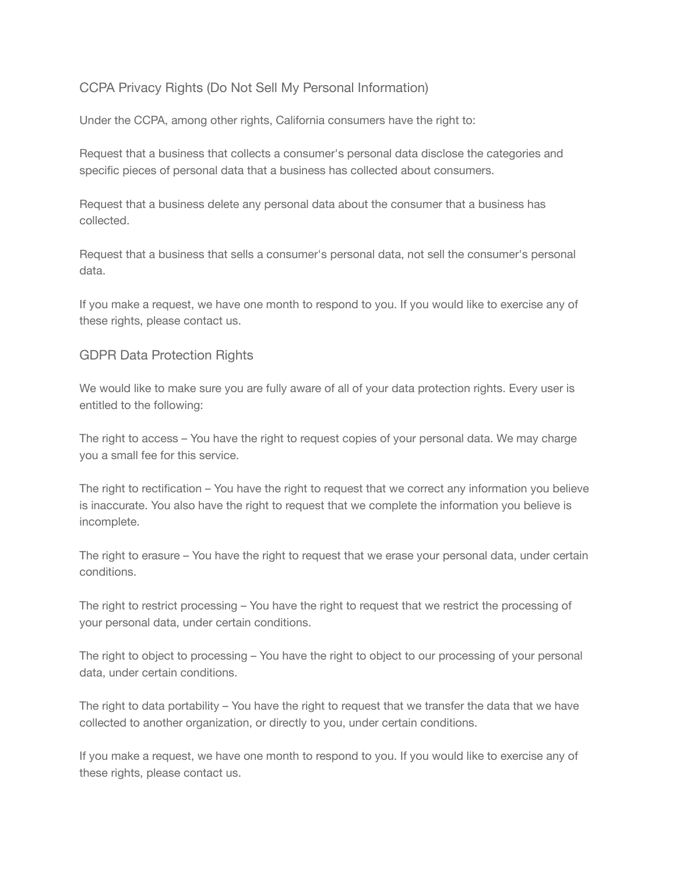# CCPA Privacy Rights (Do Not Sell My Personal Information)

Under the CCPA, among other rights, California consumers have the right to:

Request that a business that collects a consumer's personal data disclose the categories and specific pieces of personal data that a business has collected about consumers.

Request that a business delete any personal data about the consumer that a business has collected.

Request that a business that sells a consumer's personal data, not sell the consumer's personal data.

If you make a request, we have one month to respond to you. If you would like to exercise any of these rights, please contact us.

## GDPR Data Protection Rights

We would like to make sure you are fully aware of all of your data protection rights. Every user is entitled to the following:

The right to access – You have the right to request copies of your personal data. We may charge you a small fee for this service.

The right to rectification – You have the right to request that we correct any information you believe is inaccurate. You also have the right to request that we complete the information you believe is incomplete.

The right to erasure – You have the right to request that we erase your personal data, under certain conditions.

The right to restrict processing – You have the right to request that we restrict the processing of your personal data, under certain conditions.

The right to object to processing – You have the right to object to our processing of your personal data, under certain conditions.

The right to data portability – You have the right to request that we transfer the data that we have collected to another organization, or directly to you, under certain conditions.

If you make a request, we have one month to respond to you. If you would like to exercise any of these rights, please contact us.